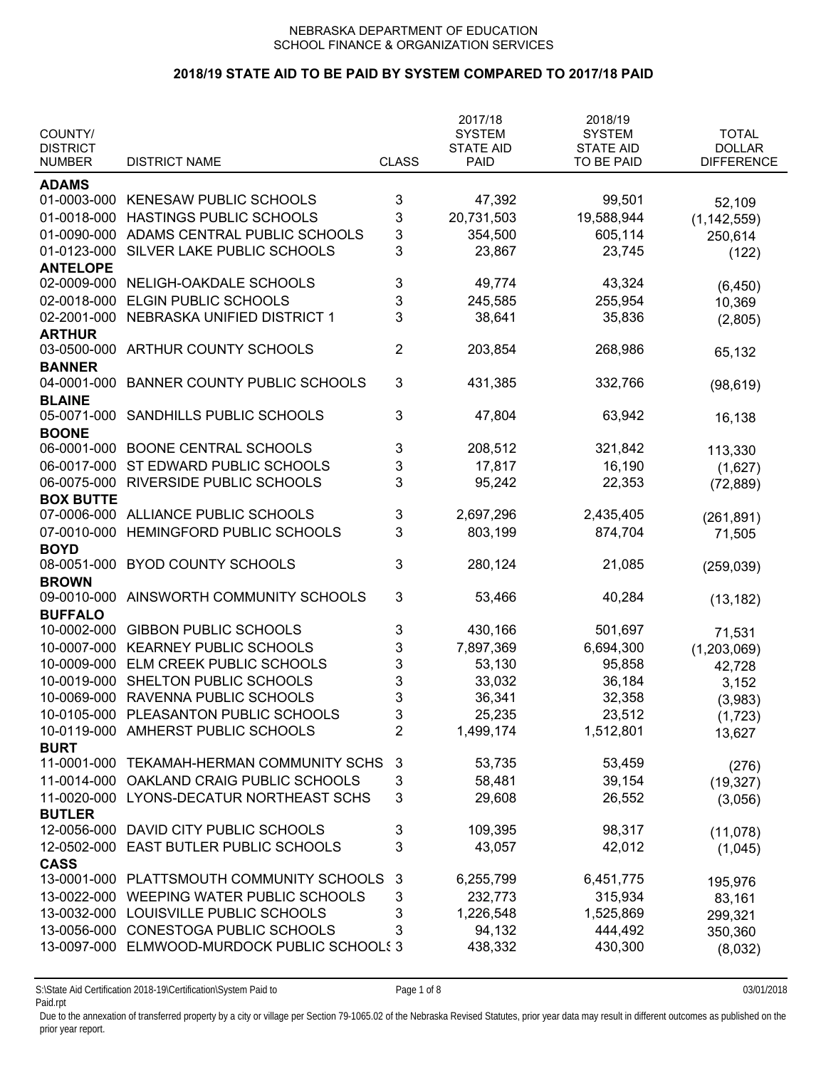## **2018/19 STATE AID TO BE PAID BY SYSTEM COMPARED TO 2017/18 PAID**

| COUNTY/          |                                       |                           | 2017/18<br><b>SYSTEM</b> | 2018/19<br><b>SYSTEM</b> | <b>TOTAL</b>         |
|------------------|---------------------------------------|---------------------------|--------------------------|--------------------------|----------------------|
| <b>DISTRICT</b>  |                                       |                           | <b>STATE AID</b>         | <b>STATE AID</b>         | <b>DOLLAR</b>        |
| <b>NUMBER</b>    | <b>DISTRICT NAME</b>                  | <b>CLASS</b>              | <b>PAID</b>              | TO BE PAID               | <b>DIFFERENCE</b>    |
| <b>ADAMS</b>     |                                       |                           |                          |                          |                      |
| 01-0003-000      | <b>KENESAW PUBLIC SCHOOLS</b>         | 3                         | 47,392                   | 99,501                   | 52,109               |
| 01-0018-000      | HASTINGS PUBLIC SCHOOLS               | 3                         | 20,731,503               | 19,588,944               | (1, 142, 559)        |
| 01-0090-000      | ADAMS CENTRAL PUBLIC SCHOOLS          | 3                         | 354,500                  | 605,114                  | 250,614              |
| 01-0123-000      | SILVER LAKE PUBLIC SCHOOLS            | 3                         | 23,867                   | 23,745                   | (122)                |
| <b>ANTELOPE</b>  |                                       |                           |                          |                          |                      |
| 02-0009-000      | NELIGH-OAKDALE SCHOOLS                | 3                         | 49,774                   | 43,324                   | (6, 450)             |
| 02-0018-000      | ELGIN PUBLIC SCHOOLS                  | 3                         | 245,585                  | 255,954                  | 10,369               |
| 02-2001-000      | NEBRASKA UNIFIED DISTRICT 1           | 3                         | 38,641                   | 35,836                   | (2,805)              |
| <b>ARTHUR</b>    |                                       |                           |                          |                          |                      |
| 03-0500-000      | ARTHUR COUNTY SCHOOLS                 | $\overline{2}$            | 203,854                  | 268,986                  | 65,132               |
| <b>BANNER</b>    |                                       |                           |                          |                          |                      |
| 04-0001-000      | <b>BANNER COUNTY PUBLIC SCHOOLS</b>   | 3                         | 431,385                  | 332,766                  | (98, 619)            |
| <b>BLAINE</b>    |                                       |                           |                          |                          |                      |
| 05-0071-000      | SANDHILLS PUBLIC SCHOOLS              | 3                         | 47,804                   | 63,942                   | 16,138               |
| <b>BOONE</b>     |                                       |                           |                          |                          |                      |
| 06-0001-000      | <b>BOONE CENTRAL SCHOOLS</b>          | 3                         | 208,512                  | 321,842                  | 113,330              |
| 06-0017-000      | ST EDWARD PUBLIC SCHOOLS              | 3                         | 17,817                   | 16,190                   |                      |
| 06-0075-000      | RIVERSIDE PUBLIC SCHOOLS              | 3                         | 95,242                   | 22,353                   | (1,627)<br>(72, 889) |
| <b>BOX BUTTE</b> |                                       |                           |                          |                          |                      |
| 07-0006-000      | ALLIANCE PUBLIC SCHOOLS               | 3                         | 2,697,296                | 2,435,405                | (261, 891)           |
| 07-0010-000      | HEMINGFORD PUBLIC SCHOOLS             | 3                         | 803,199                  | 874,704                  | 71,505               |
| <b>BOYD</b>      |                                       |                           |                          |                          |                      |
| 08-0051-000      | <b>BYOD COUNTY SCHOOLS</b>            | 3                         | 280,124                  | 21,085                   | (259, 039)           |
| <b>BROWN</b>     |                                       |                           |                          |                          |                      |
| 09-0010-000      | AINSWORTH COMMUNITY SCHOOLS           | 3                         | 53,466                   | 40,284                   | (13, 182)            |
| <b>BUFFALO</b>   |                                       |                           |                          |                          |                      |
| 10-0002-000      | <b>GIBBON PUBLIC SCHOOLS</b>          | 3                         | 430,166                  | 501,697                  | 71,531               |
| 10-0007-000      | <b>KEARNEY PUBLIC SCHOOLS</b>         | 3                         | 7,897,369                | 6,694,300                | (1,203,069)          |
| 10-0009-000      | ELM CREEK PUBLIC SCHOOLS              | 3                         | 53,130                   | 95,858                   | 42,728               |
| 10-0019-000      | SHELTON PUBLIC SCHOOLS                | 3                         | 33,032                   | 36,184                   | 3,152                |
| 10-0069-000      | RAVENNA PUBLIC SCHOOLS                | 3                         | 36,341                   | 32,358                   | (3,983)              |
|                  | 10-0105-000 PLEASANTON PUBLIC SCHOOLS | $\ensuremath{\mathsf{3}}$ | 25,235                   | 23,512                   |                      |
|                  | 10-0119-000 AMHERST PUBLIC SCHOOLS    | $\overline{2}$            | 1,499,174                | 1,512,801                | (1,723)<br>13,627    |
| <b>BURT</b>      |                                       |                           |                          |                          |                      |
| 11-0001-000      | TEKAMAH-HERMAN COMMUNITY SCHS         | 3                         | 53,735                   | 53,459                   | (276)                |
| 11-0014-000      | OAKLAND CRAIG PUBLIC SCHOOLS          | 3                         | 58,481                   | 39,154                   | (19, 327)            |
| 11-0020-000      | LYONS-DECATUR NORTHEAST SCHS          | 3                         | 29,608                   | 26,552                   | (3,056)              |
| <b>BUTLER</b>    |                                       |                           |                          |                          |                      |
| 12-0056-000      | DAVID CITY PUBLIC SCHOOLS             | 3                         | 109,395                  | 98,317                   | (11,078)             |
| 12-0502-000      | <b>EAST BUTLER PUBLIC SCHOOLS</b>     | 3                         | 43,057                   | 42,012                   | (1,045)              |
| <b>CASS</b>      |                                       |                           |                          |                          |                      |
| 13-0001-000      | PLATTSMOUTH COMMUNITY SCHOOLS         | 3                         | 6,255,799                | 6,451,775                |                      |
| 13-0022-000      | WEEPING WATER PUBLIC SCHOOLS          | 3                         | 232,773                  | 315,934                  | 195,976<br>83,161    |
| 13-0032-000      | LOUISVILLE PUBLIC SCHOOLS             | 3                         | 1,226,548                | 1,525,869                | 299,321              |
| 13-0056-000      | CONESTOGA PUBLIC SCHOOLS              | 3                         | 94,132                   | 444,492                  |                      |
| 13-0097-000      | ELMWOOD-MURDOCK PUBLIC SCHOOLS 3      |                           | 438,332                  | 430,300                  | 350,360              |
|                  |                                       |                           |                          |                          | (8,032)              |

S:\State Aid Certification 2018-19\Certification\System Paid to Page 1 of 8 03/01/2018 Paid.rpt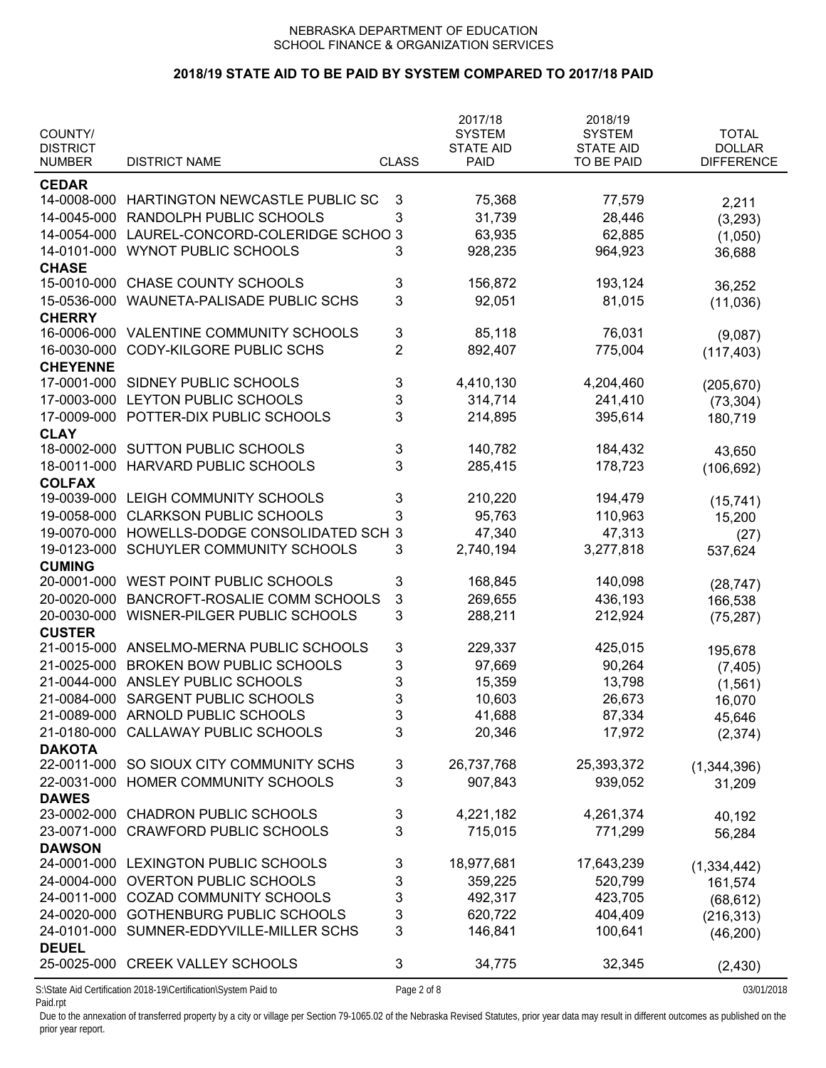# **2018/19 STATE AID TO BE PAID BY SYSTEM COMPARED TO 2017/18 PAID**

| COUNTY/<br><b>DISTRICT</b>   |                                                                 |                | 2017/18<br><b>SYSTEM</b><br><b>STATE AID</b> | 2018/19<br><b>SYSTEM</b><br><b>STATE AID</b> | <b>TOTAL</b><br><b>DOLLAR</b> |
|------------------------------|-----------------------------------------------------------------|----------------|----------------------------------------------|----------------------------------------------|-------------------------------|
| <b>NUMBER</b>                | <b>DISTRICT NAME</b>                                            | <b>CLASS</b>   | <b>PAID</b>                                  | TO BE PAID                                   | <b>DIFFERENCE</b>             |
| <b>CEDAR</b>                 |                                                                 |                |                                              |                                              |                               |
| 14-0008-000                  | HARTINGTON NEWCASTLE PUBLIC SC                                  | 3              | 75,368                                       | 77,579                                       | 2,211                         |
| 14-0045-000                  | RANDOLPH PUBLIC SCHOOLS                                         | 3              | 31,739                                       | 28,446                                       | (3, 293)                      |
| 14-0054-000                  | LAUREL-CONCORD-COLERIDGE SCHOO 3                                |                | 63,935                                       | 62,885                                       | (1,050)                       |
| 14-0101-000                  | <b>WYNOT PUBLIC SCHOOLS</b>                                     | 3              | 928,235                                      | 964,923                                      | 36,688                        |
| <b>CHASE</b>                 |                                                                 |                |                                              |                                              |                               |
| 15-0010-000                  | CHASE COUNTY SCHOOLS                                            | 3              | 156,872                                      | 193,124                                      | 36,252                        |
| 15-0536-000                  | WAUNETA-PALISADE PUBLIC SCHS                                    | 3              | 92,051                                       | 81,015                                       | (11,036)                      |
| <b>CHERRY</b>                |                                                                 |                |                                              |                                              |                               |
| 16-0006-000                  | VALENTINE COMMUNITY SCHOOLS                                     | 3              | 85,118                                       | 76,031                                       |                               |
| 16-0030-000                  | <b>CODY-KILGORE PUBLIC SCHS</b>                                 | $\overline{2}$ | 892,407                                      | 775,004                                      | (9,087)                       |
| <b>CHEYENNE</b>              |                                                                 |                |                                              |                                              | (117, 403)                    |
| 17-0001-000                  | SIDNEY PUBLIC SCHOOLS                                           | 3              | 4,410,130                                    | 4,204,460                                    |                               |
| 17-0003-000                  | LEYTON PUBLIC SCHOOLS                                           | 3              | 314,714                                      | 241,410                                      | (205, 670)                    |
| 17-0009-000                  | POTTER-DIX PUBLIC SCHOOLS                                       | 3              | 214,895                                      | 395,614                                      | (73, 304)                     |
|                              |                                                                 |                |                                              |                                              | 180,719                       |
| <b>CLAY</b><br>18-0002-000   | <b>SUTTON PUBLIC SCHOOLS</b>                                    | 3              | 140,782                                      | 184,432                                      |                               |
| 18-0011-000                  | <b>HARVARD PUBLIC SCHOOLS</b>                                   | 3              | 285,415                                      |                                              | 43,650                        |
|                              |                                                                 |                |                                              | 178,723                                      | (106, 692)                    |
| <b>COLFAX</b><br>19-0039-000 | LEIGH COMMUNITY SCHOOLS                                         |                | 210,220                                      | 194,479                                      |                               |
|                              |                                                                 | 3              |                                              |                                              | (15, 741)                     |
| 19-0058-000                  | <b>CLARKSON PUBLIC SCHOOLS</b>                                  | 3              | 95,763                                       | 110,963                                      | 15,200                        |
| 19-0070-000                  | HOWELLS-DODGE CONSOLIDATED SCH                                  | $\mathbf{3}$   | 47,340                                       | 47,313                                       | (27)                          |
| 19-0123-000                  | SCHUYLER COMMUNITY SCHOOLS                                      | 3              | 2,740,194                                    | 3,277,818                                    | 537,624                       |
| <b>CUMING</b>                |                                                                 |                |                                              |                                              |                               |
| 20-0001-000                  | WEST POINT PUBLIC SCHOOLS                                       | 3              | 168,845                                      | 140,098                                      | (28, 747)                     |
| 20-0020-000                  | BANCROFT-ROSALIE COMM SCHOOLS                                   | 3              | 269,655                                      | 436,193                                      | 166,538                       |
| 20-0030-000                  | WISNER-PILGER PUBLIC SCHOOLS                                    | 3              | 288,211                                      | 212,924                                      | (75, 287)                     |
| <b>CUSTER</b>                |                                                                 |                |                                              |                                              |                               |
|                              | 21-0015-000 ANSELMO-MERNA PUBLIC SCHOOLS                        | 3              | 229,337                                      | 425,015                                      | 195,678                       |
| 21-0025-000                  | <b>BROKEN BOW PUBLIC SCHOOLS</b>                                | 3              | 97,669                                       | 90,264                                       | (7, 405)                      |
| 21-0044-000                  | ANSLEY PUBLIC SCHOOLS                                           | 3              | 15,359                                       | 13,798                                       | (1, 561)                      |
| 21-0084-000                  | SARGENT PUBLIC SCHOOLS                                          | 3              | 10,603                                       | 26,673                                       | 16,070                        |
| 21-0089-000                  | ARNOLD PUBLIC SCHOOLS                                           | 3              | 41,688                                       | 87,334                                       | 45,646                        |
| 21-0180-000                  | CALLAWAY PUBLIC SCHOOLS                                         | 3              | 20,346                                       | 17,972                                       | (2,374)                       |
| <b>DAKOTA</b>                |                                                                 |                |                                              |                                              |                               |
| 22-0011-000                  | SO SIOUX CITY COMMUNITY SCHS                                    | 3              | 26,737,768                                   | 25,393,372                                   | (1,344,396)                   |
| 22-0031-000                  | HOMER COMMUNITY SCHOOLS                                         | 3              | 907,843                                      | 939,052                                      | 31,209                        |
| <b>DAWES</b>                 |                                                                 |                |                                              |                                              |                               |
| 23-0002-000                  | <b>CHADRON PUBLIC SCHOOLS</b>                                   | 3              | 4,221,182                                    | 4,261,374                                    | 40,192                        |
| 23-0071-000                  | <b>CRAWFORD PUBLIC SCHOOLS</b>                                  | 3              | 715,015                                      | 771,299                                      | 56,284                        |
| <b>DAWSON</b>                |                                                                 |                |                                              |                                              |                               |
| 24-0001-000                  | LEXINGTON PUBLIC SCHOOLS                                        | 3              | 18,977,681                                   | 17,643,239                                   | (1, 334, 442)                 |
| 24-0004-000                  | <b>OVERTON PUBLIC SCHOOLS</b>                                   | 3              | 359,225                                      | 520,799                                      | 161,574                       |
| 24-0011-000                  | <b>COZAD COMMUNITY SCHOOLS</b>                                  | 3              | 492,317                                      | 423,705                                      | (68, 612)                     |
| 24-0020-000                  | <b>GOTHENBURG PUBLIC SCHOOLS</b>                                | 3              | 620,722                                      | 404,409                                      | (216, 313)                    |
|                              | 24-0101-000 SUMNER-EDDYVILLE-MILLER SCHS                        | 3              | 146,841                                      | 100,641                                      | (46, 200)                     |
| <b>DEUEL</b>                 |                                                                 |                |                                              |                                              |                               |
|                              | 25-0025-000 CREEK VALLEY SCHOOLS                                | 3              | 34,775                                       | 32,345                                       | (2, 430)                      |
|                              | S:\State Aid Certification 2018-19\Certification\System Paid to | Page 2 of 8    |                                              |                                              | 03/01/2018                    |

Paid.rpt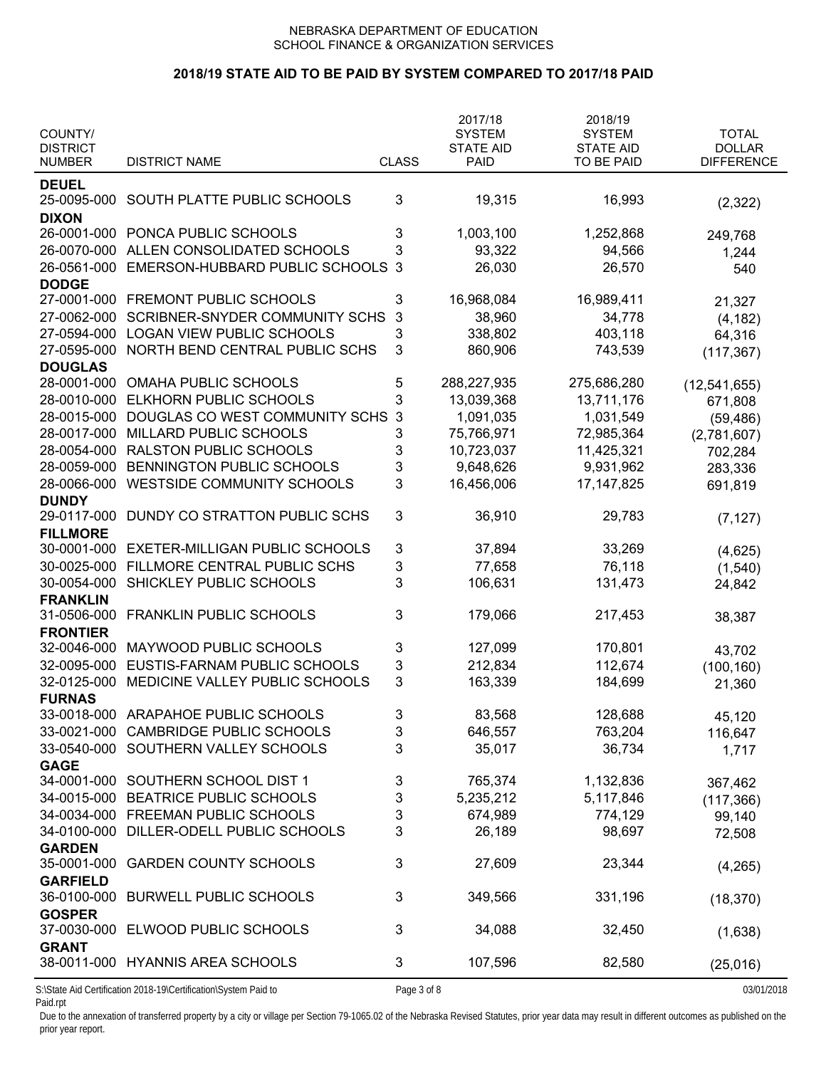### **2018/19 STATE AID TO BE PAID BY SYSTEM COMPARED TO 2017/18 PAID**

| COUNTY/<br><b>DISTRICT</b>     |                                                                 |              | 2017/18<br><b>SYSTEM</b><br><b>STATE AID</b> | 2018/19<br><b>SYSTEM</b><br><b>STATE AID</b> | <b>TOTAL</b><br><b>DOLLAR</b> |
|--------------------------------|-----------------------------------------------------------------|--------------|----------------------------------------------|----------------------------------------------|-------------------------------|
| <b>NUMBER</b>                  | <b>DISTRICT NAME</b>                                            | <b>CLASS</b> | <b>PAID</b>                                  | TO BE PAID                                   | <b>DIFFERENCE</b>             |
| <b>DEUEL</b><br>25-0095-000    | SOUTH PLATTE PUBLIC SCHOOLS                                     | 3            | 19,315                                       | 16,993                                       | (2,322)                       |
| <b>DIXON</b>                   | 26-0001-000 PONCA PUBLIC SCHOOLS                                | 3            | 1,003,100                                    | 1,252,868                                    | 249,768                       |
| 26-0070-000                    | ALLEN CONSOLIDATED SCHOOLS                                      | 3            | 93,322                                       | 94,566                                       | 1,244                         |
| 26-0561-000                    | EMERSON-HUBBARD PUBLIC SCHOOLS                                  | $\mathbf{3}$ | 26,030                                       | 26,570                                       | 540                           |
| <b>DODGE</b>                   |                                                                 |              |                                              |                                              |                               |
| 27-0001-000                    | FREMONT PUBLIC SCHOOLS                                          | 3            | 16,968,084                                   | 16,989,411                                   | 21,327                        |
| 27-0062-000                    | <b>SCRIBNER-SNYDER COMMUNITY SCHS</b>                           | 3            | 38,960                                       | 34,778                                       | (4, 182)                      |
| 27-0594-000                    | <b>LOGAN VIEW PUBLIC SCHOOLS</b>                                | 3            | 338,802                                      | 403,118                                      | 64,316                        |
| 27-0595-000<br><b>DOUGLAS</b>  | NORTH BEND CENTRAL PUBLIC SCHS                                  | 3            | 860,906                                      | 743,539                                      | (117, 367)                    |
| 28-0001-000                    | OMAHA PUBLIC SCHOOLS                                            | 5            | 288,227,935                                  | 275,686,280                                  | (12, 541, 655)                |
| 28-0010-000                    | ELKHORN PUBLIC SCHOOLS                                          | 3            | 13,039,368                                   | 13,711,176                                   | 671,808                       |
| 28-0015-000                    | DOUGLAS CO WEST COMMUNITY SCHS                                  | $\mathbf{3}$ | 1,091,035                                    | 1,031,549                                    | (59, 486)                     |
| 28-0017-000                    | MILLARD PUBLIC SCHOOLS                                          | 3            | 75,766,971                                   | 72,985,364                                   | (2,781,607)                   |
| 28-0054-000                    | <b>RALSTON PUBLIC SCHOOLS</b>                                   | 3            | 10,723,037                                   | 11,425,321                                   | 702,284                       |
| 28-0059-000                    | BENNINGTON PUBLIC SCHOOLS                                       | 3            | 9,648,626                                    | 9,931,962                                    | 283,336                       |
| 28-0066-000                    | WESTSIDE COMMUNITY SCHOOLS                                      | 3            | 16,456,006                                   | 17, 147, 825                                 | 691,819                       |
| <b>DUNDY</b>                   |                                                                 |              |                                              |                                              |                               |
| 29-0117-000                    | DUNDY CO STRATTON PUBLIC SCHS                                   | 3            | 36,910                                       | 29,783                                       | (7, 127)                      |
| <b>FILLMORE</b>                |                                                                 |              |                                              |                                              |                               |
| 30-0001-000                    | <b>EXETER-MILLIGAN PUBLIC SCHOOLS</b>                           | 3            | 37,894                                       | 33,269                                       | (4,625)                       |
| 30-0025-000                    | FILLMORE CENTRAL PUBLIC SCHS                                    | 3            | 77,658                                       | 76,118                                       | (1,540)                       |
| 30-0054-000                    | SHICKLEY PUBLIC SCHOOLS                                         | 3            | 106,631                                      | 131,473                                      | 24,842                        |
| <b>FRANKLIN</b>                |                                                                 |              |                                              |                                              |                               |
| 31-0506-000                    | <b>FRANKLIN PUBLIC SCHOOLS</b>                                  | 3            | 179,066                                      | 217,453                                      | 38,387                        |
| <b>FRONTIER</b><br>32-0046-000 | MAYWOOD PUBLIC SCHOOLS                                          | 3            | 127,099                                      | 170,801                                      |                               |
| 32-0095-000                    | EUSTIS-FARNAM PUBLIC SCHOOLS                                    | 3            | 212,834                                      | 112,674                                      | 43,702                        |
| 32-0125-000                    | MEDICINE VALLEY PUBLIC SCHOOLS                                  | 3            | 163,339                                      | 184,699                                      | (100, 160)                    |
| <b>FURNAS</b>                  |                                                                 |              |                                              |                                              | 21,360                        |
|                                | 33-0018-000 ARAPAHOE PUBLIC SCHOOLS                             | 3            | 83,568                                       | 128,688                                      | 45,120                        |
|                                | 33-0021-000 CAMBRIDGE PUBLIC SCHOOLS                            | 3            | 646,557                                      | 763,204                                      | 116,647                       |
|                                | 33-0540-000 SOUTHERN VALLEY SCHOOLS                             | 3            | 35,017                                       | 36,734                                       | 1,717                         |
| <b>GAGE</b>                    |                                                                 |              |                                              |                                              |                               |
|                                | 34-0001-000 SOUTHERN SCHOOL DIST 1                              | 3            | 765,374                                      | 1,132,836                                    | 367,462                       |
|                                | 34-0015-000 BEATRICE PUBLIC SCHOOLS                             | 3            | 5,235,212                                    | 5,117,846                                    | (117, 366)                    |
|                                | 34-0034-000 FREEMAN PUBLIC SCHOOLS                              | 3            | 674,989                                      | 774,129                                      | 99,140                        |
|                                | 34-0100-000 DILLER-ODELL PUBLIC SCHOOLS                         | 3            | 26,189                                       | 98,697                                       | 72,508                        |
| <b>GARDEN</b>                  |                                                                 |              |                                              |                                              |                               |
| 35-0001-000                    | <b>GARDEN COUNTY SCHOOLS</b>                                    | 3            | 27,609                                       | 23,344                                       | (4, 265)                      |
| <b>GARFIELD</b>                |                                                                 |              |                                              |                                              |                               |
| <b>GOSPER</b>                  | 36-0100-000 BURWELL PUBLIC SCHOOLS                              | 3            | 349,566                                      | 331,196                                      | (18, 370)                     |
| 37-0030-000                    | ELWOOD PUBLIC SCHOOLS                                           | 3            | 34,088                                       | 32,450                                       | (1,638)                       |
| <b>GRANT</b>                   |                                                                 |              |                                              |                                              |                               |
|                                | 38-0011-000 HYANNIS AREA SCHOOLS                                | 3            | 107,596                                      | 82,580                                       | (25,016)                      |
|                                | S:\State Aid Certification 2018-19\Certification\System Paid to | Page 3 of 8  |                                              |                                              | 03/01/2018                    |

Paid.rpt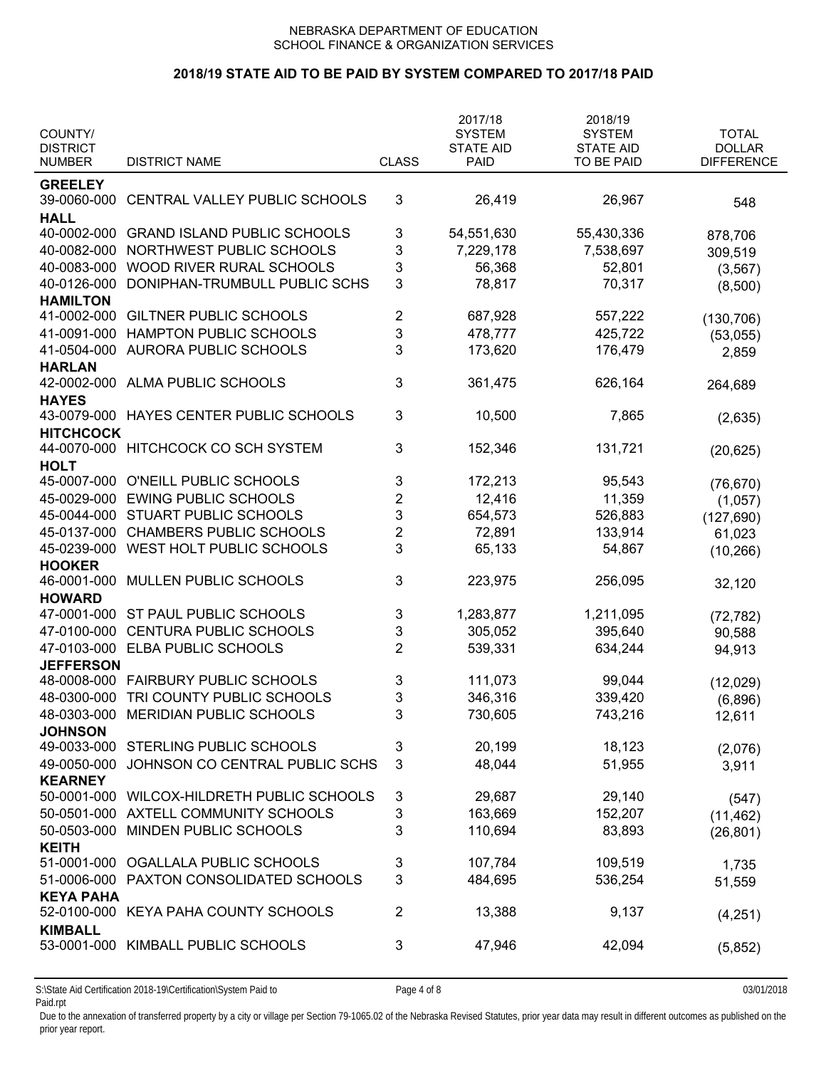## **2018/19 STATE AID TO BE PAID BY SYSTEM COMPARED TO 2017/18 PAID**

| COUNTY/          |                                     |                         | 2017/18<br><b>SYSTEM</b> | 2018/19<br><b>SYSTEM</b> | <b>TOTAL</b>      |
|------------------|-------------------------------------|-------------------------|--------------------------|--------------------------|-------------------|
| <b>DISTRICT</b>  |                                     |                         | <b>STATE AID</b>         | <b>STATE AID</b>         | <b>DOLLAR</b>     |
| <b>NUMBER</b>    | <b>DISTRICT NAME</b>                | <b>CLASS</b>            | PAID                     | TO BE PAID               | <b>DIFFERENCE</b> |
| <b>GREELEY</b>   |                                     |                         |                          |                          |                   |
| 39-0060-000      | CENTRAL VALLEY PUBLIC SCHOOLS       | 3                       | 26,419                   | 26,967                   | 548               |
| <b>HALL</b>      |                                     |                         |                          |                          |                   |
| 40-0002-000      | <b>GRAND ISLAND PUBLIC SCHOOLS</b>  | 3                       | 54,551,630               | 55,430,336               | 878,706           |
| 40-0082-000      | NORTHWEST PUBLIC SCHOOLS            | 3                       | 7,229,178                | 7,538,697                | 309,519           |
| 40-0083-000      | WOOD RIVER RURAL SCHOOLS            | 3                       | 56,368                   | 52,801                   | (3, 567)          |
| 40-0126-000      | DONIPHAN-TRUMBULL PUBLIC SCHS       | 3                       | 78,817                   | 70,317                   | (8,500)           |
| <b>HAMILTON</b>  |                                     |                         |                          |                          |                   |
| 41-0002-000      | <b>GILTNER PUBLIC SCHOOLS</b>       | 2                       | 687,928                  | 557,222                  | (130, 706)        |
| 41-0091-000      | HAMPTON PUBLIC SCHOOLS              | 3                       | 478,777                  | 425,722                  | (53,055)          |
| 41-0504-000      | <b>AURORA PUBLIC SCHOOLS</b>        | 3                       | 173,620                  | 176,479                  | 2,859             |
| <b>HARLAN</b>    |                                     |                         |                          |                          |                   |
| 42-0002-000      | <b>ALMA PUBLIC SCHOOLS</b>          | 3                       | 361,475                  | 626,164                  | 264,689           |
| <b>HAYES</b>     |                                     |                         |                          |                          |                   |
| 43-0079-000      | HAYES CENTER PUBLIC SCHOOLS         | 3                       | 10,500                   | 7,865                    | (2,635)           |
| <b>HITCHCOCK</b> |                                     |                         |                          |                          |                   |
| 44-0070-000      | HITCHCOCK CO SCH SYSTEM             | 3                       | 152,346                  | 131,721                  | (20, 625)         |
| <b>HOLT</b>      |                                     |                         |                          |                          |                   |
| 45-0007-000      | O'NEILL PUBLIC SCHOOLS              | 3                       | 172,213                  | 95,543                   | (76, 670)         |
| 45-0029-000      | <b>EWING PUBLIC SCHOOLS</b>         | $\overline{c}$          | 12,416                   | 11,359                   | (1,057)           |
| 45-0044-000      | STUART PUBLIC SCHOOLS               | 3                       | 654,573                  | 526,883                  | (127, 690)        |
| 45-0137-000      | <b>CHAMBERS PUBLIC SCHOOLS</b>      | $\overline{\mathbf{c}}$ | 72,891                   | 133,914                  | 61,023            |
| 45-0239-000      | WEST HOLT PUBLIC SCHOOLS            | 3                       | 65,133                   | 54,867                   | (10, 266)         |
| <b>HOOKER</b>    |                                     |                         |                          |                          |                   |
| 46-0001-000      | MULLEN PUBLIC SCHOOLS               | 3                       | 223,975                  | 256,095                  | 32,120            |
| <b>HOWARD</b>    |                                     |                         |                          |                          |                   |
| 47-0001-000      | ST PAUL PUBLIC SCHOOLS              | 3                       | 1,283,877                | 1,211,095                | (72, 782)         |
| 47-0100-000      | <b>CENTURA PUBLIC SCHOOLS</b>       | 3                       | 305,052                  | 395,640                  | 90,588            |
| 47-0103-000      | <b>ELBA PUBLIC SCHOOLS</b>          | $\overline{2}$          | 539,331                  | 634,244                  | 94,913            |
| <b>JEFFERSON</b> |                                     |                         |                          |                          |                   |
|                  | 48-0008-000 FAIRBURY PUBLIC SCHOOLS | 3                       | 111,073                  | 99,044                   | (12,029)          |
| 48-0300-000      | TRI COUNTY PUBLIC SCHOOLS           | 3                       | 346,316                  | 339,420                  | (6,896)           |
|                  | 48-0303-000 MERIDIAN PUBLIC SCHOOLS | 3                       | 730,605                  | 743,216                  | 12,611            |
| <b>JOHNSON</b>   |                                     |                         |                          |                          |                   |
|                  | 49-0033-000 STERLING PUBLIC SCHOOLS | 3                       | 20,199                   | 18,123                   | (2,076)           |
| 49-0050-000      | JOHNSON CO CENTRAL PUBLIC SCHS      | 3                       | 48,044                   | 51,955                   | 3,911             |
| <b>KEARNEY</b>   |                                     |                         |                          |                          |                   |
| 50-0001-000      | WILCOX-HILDRETH PUBLIC SCHOOLS      | 3                       | 29,687                   | 29,140                   | (547)             |
| 50-0501-000      | AXTELL COMMUNITY SCHOOLS            | 3                       | 163,669                  | 152,207                  | (11, 462)         |
| 50-0503-000      | MINDEN PUBLIC SCHOOLS               | 3                       | 110,694                  | 83,893                   | (26, 801)         |
| <b>KEITH</b>     |                                     |                         |                          |                          |                   |
| 51-0001-000      | OGALLALA PUBLIC SCHOOLS             | 3                       | 107,784                  | 109,519                  | 1,735             |
| 51-0006-000      | PAXTON CONSOLIDATED SCHOOLS         | 3                       | 484,695                  | 536,254                  | 51,559            |
| <b>KEYA PAHA</b> |                                     |                         |                          |                          |                   |
| 52-0100-000      | KEYA PAHA COUNTY SCHOOLS            | 2                       | 13,388                   | 9,137                    | (4,251)           |
| <b>KIMBALL</b>   |                                     |                         |                          |                          |                   |
| 53-0001-000      | KIMBALL PUBLIC SCHOOLS              | 3                       | 47,946                   | 42,094                   | (5,852)           |
|                  |                                     |                         |                          |                          |                   |

S:\State Aid Certification 2018-19\Certification\System Paid to Page 4 of 8 03/01/2018 Paid.rpt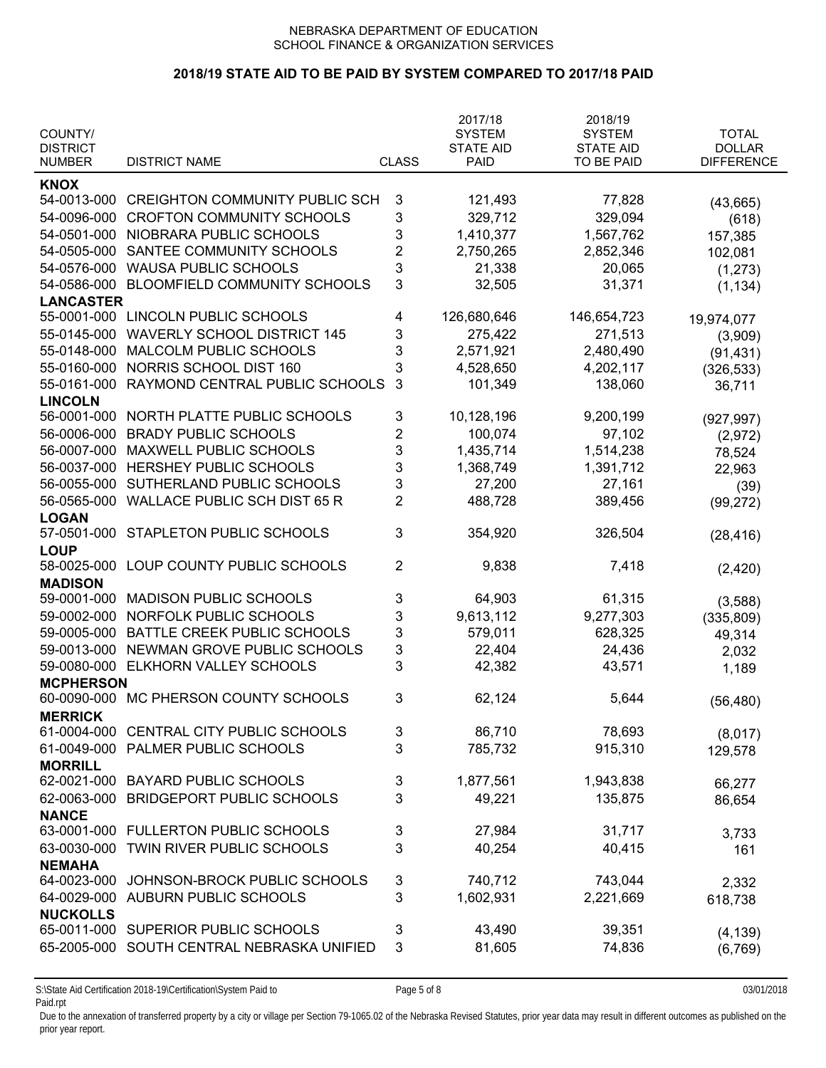## **2018/19 STATE AID TO BE PAID BY SYSTEM COMPARED TO 2017/18 PAID**

| COUNTY/                          |                                       |                | 2017/18<br><b>SYSTEM</b>        | 2018/19<br><b>SYSTEM</b>       | <b>TOTAL</b>                       |
|----------------------------------|---------------------------------------|----------------|---------------------------------|--------------------------------|------------------------------------|
| <b>DISTRICT</b><br><b>NUMBER</b> | <b>DISTRICT NAME</b>                  | <b>CLASS</b>   | <b>STATE AID</b><br><b>PAID</b> | <b>STATE AID</b><br>TO BE PAID | <b>DOLLAR</b><br><b>DIFFERENCE</b> |
| <b>KNOX</b>                      |                                       |                |                                 |                                |                                    |
| 54-0013-000                      | <b>CREIGHTON COMMUNITY PUBLIC SCH</b> | 3              | 121,493                         | 77,828                         | (43, 665)                          |
| 54-0096-000                      | <b>CROFTON COMMUNITY SCHOOLS</b>      | 3              | 329,712                         | 329,094                        | (618)                              |
| 54-0501-000                      | NIOBRARA PUBLIC SCHOOLS               | 3              | 1,410,377                       | 1,567,762                      | 157,385                            |
| 54-0505-000                      | SANTEE COMMUNITY SCHOOLS              | $\overline{2}$ | 2,750,265                       | 2,852,346                      | 102,081                            |
| 54-0576-000                      | <b>WAUSA PUBLIC SCHOOLS</b>           | 3              | 21,338                          | 20,065                         |                                    |
| 54-0586-000                      | BLOOMFIELD COMMUNITY SCHOOLS          | 3              | 32,505                          | 31,371                         | (1, 273)                           |
| <b>LANCASTER</b>                 |                                       |                |                                 |                                | (1, 134)                           |
| 55-0001-000                      | LINCOLN PUBLIC SCHOOLS                | 4              | 126,680,646                     | 146,654,723                    |                                    |
| 55-0145-000                      | <b>WAVERLY SCHOOL DISTRICT 145</b>    | 3              | 275,422                         | 271,513                        | 19,974,077                         |
| 55-0148-000                      | MALCOLM PUBLIC SCHOOLS                | 3              | 2,571,921                       | 2,480,490                      | (3,909)                            |
| 55-0160-000                      | NORRIS SCHOOL DIST 160                | 3              | 4,528,650                       | 4,202,117                      | (91, 431)                          |
|                                  |                                       |                |                                 |                                | (326, 533)                         |
| 55-0161-000                      | RAYMOND CENTRAL PUBLIC SCHOOLS        | 3              | 101,349                         | 138,060                        | 36,711                             |
| <b>LINCOLN</b>                   |                                       |                |                                 |                                |                                    |
| 56-0001-000                      | NORTH PLATTE PUBLIC SCHOOLS           | 3              | 10,128,196                      | 9,200,199                      | (927, 997)                         |
| 56-0006-000                      | <b>BRADY PUBLIC SCHOOLS</b>           | $\overline{2}$ | 100,074                         | 97,102                         | (2,972)                            |
| 56-0007-000                      | <b>MAXWELL PUBLIC SCHOOLS</b>         | 3              | 1,435,714                       | 1,514,238                      | 78,524                             |
| 56-0037-000                      | HERSHEY PUBLIC SCHOOLS                | 3              | 1,368,749                       | 1,391,712                      | 22,963                             |
| 56-0055-000                      | SUTHERLAND PUBLIC SCHOOLS             | 3              | 27,200                          | 27,161                         | (39)                               |
| 56-0565-000                      | <b>WALLACE PUBLIC SCH DIST 65 R</b>   | $\overline{2}$ | 488,728                         | 389,456                        | (99, 272)                          |
| <b>LOGAN</b>                     |                                       |                |                                 |                                |                                    |
| 57-0501-000                      | <b>STAPLETON PUBLIC SCHOOLS</b>       | 3              | 354,920                         | 326,504                        | (28, 416)                          |
| <b>LOUP</b>                      |                                       |                |                                 |                                |                                    |
| 58-0025-000                      | LOUP COUNTY PUBLIC SCHOOLS            | 2              | 9,838                           | 7,418                          | (2, 420)                           |
| <b>MADISON</b>                   |                                       |                |                                 |                                |                                    |
| 59-0001-000                      | <b>MADISON PUBLIC SCHOOLS</b>         | 3              | 64,903                          | 61,315                         | (3,588)                            |
| 59-0002-000                      | NORFOLK PUBLIC SCHOOLS                | 3              | 9,613,112                       | 9,277,303                      | (335, 809)                         |
| 59-0005-000                      | BATTLE CREEK PUBLIC SCHOOLS           | 3              | 579,011                         | 628,325                        | 49,314                             |
| 59-0013-000                      | NEWMAN GROVE PUBLIC SCHOOLS           | 3              | 22,404                          | 24,436                         | 2,032                              |
| 59-0080-000                      | ELKHORN VALLEY SCHOOLS                | 3              | 42,382                          | 43,571                         | 1,189                              |
| <b>MCPHERSON</b>                 |                                       |                |                                 |                                |                                    |
|                                  | 60-0090-000 MC PHERSON COUNTY SCHOOLS | 3              | 62,124                          | 5,644                          | (56, 480)                          |
| <b>MERRICK</b>                   |                                       |                |                                 |                                |                                    |
| 61-0004-000                      | CENTRAL CITY PUBLIC SCHOOLS           | 3              | 86,710                          | 78,693                         | (8,017)                            |
| 61-0049-000                      | PALMER PUBLIC SCHOOLS                 | 3              | 785,732                         | 915,310                        | 129,578                            |
| <b>MORRILL</b>                   |                                       |                |                                 |                                |                                    |
| 62-0021-000                      | <b>BAYARD PUBLIC SCHOOLS</b>          | 3              | 1,877,561                       | 1,943,838                      | 66,277                             |
| 62-0063-000                      | <b>BRIDGEPORT PUBLIC SCHOOLS</b>      | 3              | 49,221                          | 135,875                        | 86,654                             |
| <b>NANCE</b>                     |                                       |                |                                 |                                |                                    |
| 63-0001-000                      | <b>FULLERTON PUBLIC SCHOOLS</b>       | 3              | 27,984                          | 31,717                         | 3,733                              |
| 63-0030-000                      | TWIN RIVER PUBLIC SCHOOLS             | 3              | 40,254                          | 40,415                         | 161                                |
| <b>NEMAHA</b>                    |                                       |                |                                 |                                |                                    |
| 64-0023-000                      | JOHNSON-BROCK PUBLIC SCHOOLS          | 3              | 740,712                         | 743,044                        | 2,332                              |
| 64-0029-000                      | AUBURN PUBLIC SCHOOLS                 | 3              | 1,602,931                       | 2,221,669                      | 618,738                            |
| <b>NUCKOLLS</b>                  |                                       |                |                                 |                                |                                    |
| 65-0011-000                      | SUPERIOR PUBLIC SCHOOLS               | 3              | 43,490                          | 39,351                         | (4, 139)                           |
| 65-2005-000                      | SOUTH CENTRAL NEBRASKA UNIFIED        | 3              | 81,605                          | 74,836                         | (6, 769)                           |
|                                  |                                       |                |                                 |                                |                                    |

S:\State Aid Certification 2018-19\Certification\System Paid to Page 5 of 8 03/01/2018 Paid.rpt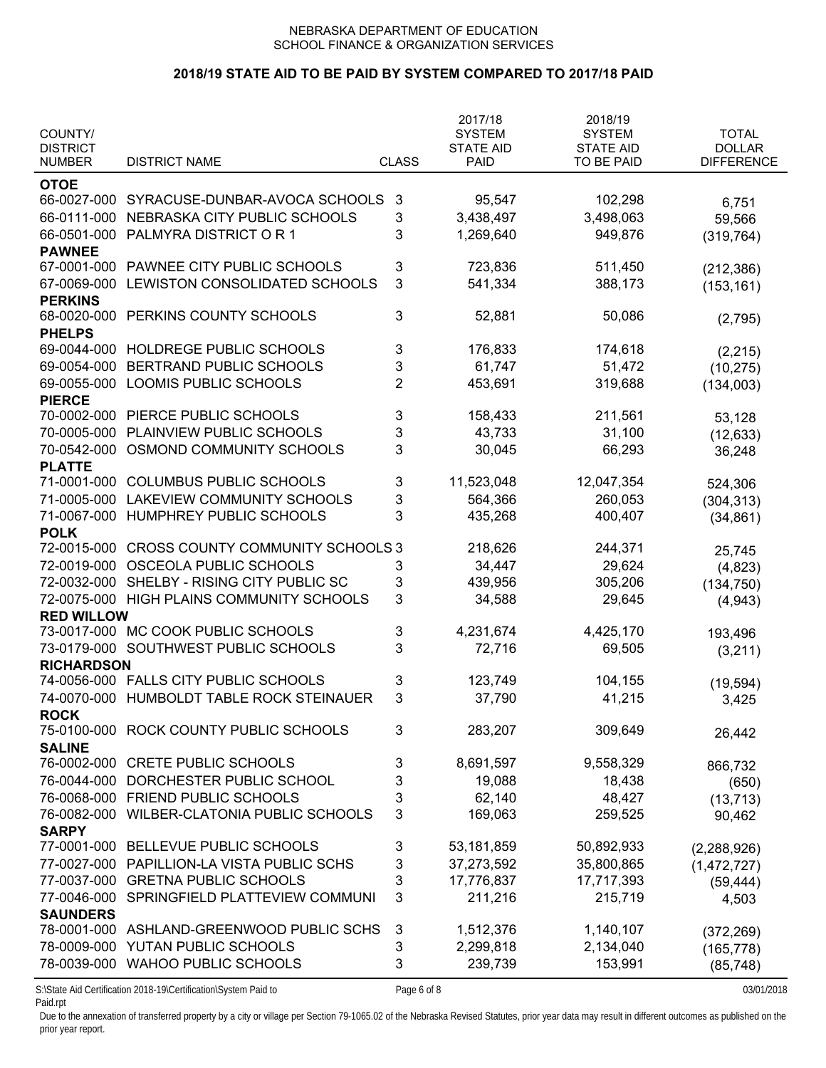# **2018/19 STATE AID TO BE PAID BY SYSTEM COMPARED TO 2017/18 PAID**

| COUNTY/<br><b>DISTRICT</b><br><b>NUMBER</b> | <b>DISTRICT NAME</b>                                            | <b>CLASS</b>   | 2017/18<br><b>SYSTEM</b><br><b>STATE AID</b><br><b>PAID</b> | 2018/19<br><b>SYSTEM</b><br><b>STATE AID</b><br><b>TO BE PAID</b> | <b>TOTAL</b><br><b>DOLLAR</b><br><b>DIFFERENCE</b> |
|---------------------------------------------|-----------------------------------------------------------------|----------------|-------------------------------------------------------------|-------------------------------------------------------------------|----------------------------------------------------|
|                                             |                                                                 |                |                                                             |                                                                   |                                                    |
| <b>OTOE</b><br>66-0027-000                  | SYRACUSE-DUNBAR-AVOCA SCHOOLS                                   | 3              | 95,547                                                      | 102,298                                                           |                                                    |
| 66-0111-000                                 | NEBRASKA CITY PUBLIC SCHOOLS                                    | 3              | 3,438,497                                                   | 3,498,063                                                         | 6,751                                              |
| 66-0501-000                                 | PALMYRA DISTRICT OR 1                                           | 3              | 1,269,640                                                   | 949,876                                                           | 59,566                                             |
| <b>PAWNEE</b>                               |                                                                 |                |                                                             |                                                                   | (319, 764)                                         |
| 67-0001-000                                 | PAWNEE CITY PUBLIC SCHOOLS                                      | 3              | 723,836                                                     | 511,450                                                           |                                                    |
| 67-0069-000                                 | LEWISTON CONSOLIDATED SCHOOLS                                   | 3              | 541,334                                                     | 388,173                                                           | (212, 386)                                         |
| <b>PERKINS</b>                              |                                                                 |                |                                                             |                                                                   | (153, 161)                                         |
| 68-0020-000                                 | PERKINS COUNTY SCHOOLS                                          | 3              | 52,881                                                      | 50,086                                                            | (2,795)                                            |
| <b>PHELPS</b>                               |                                                                 |                |                                                             |                                                                   |                                                    |
| 69-0044-000                                 | HOLDREGE PUBLIC SCHOOLS                                         | 3              | 176,833                                                     | 174,618                                                           | (2, 215)                                           |
| 69-0054-000                                 | BERTRAND PUBLIC SCHOOLS                                         | 3              | 61,747                                                      | 51,472                                                            | (10, 275)                                          |
| 69-0055-000                                 | LOOMIS PUBLIC SCHOOLS                                           | $\overline{2}$ | 453,691                                                     | 319,688                                                           | (134,003)                                          |
| <b>PIERCE</b>                               |                                                                 |                |                                                             |                                                                   |                                                    |
| 70-0002-000                                 | PIERCE PUBLIC SCHOOLS                                           | 3              | 158,433                                                     | 211,561                                                           | 53,128                                             |
| 70-0005-000                                 | PLAINVIEW PUBLIC SCHOOLS                                        | 3              | 43,733                                                      | 31,100                                                            | (12, 633)                                          |
| 70-0542-000                                 | OSMOND COMMUNITY SCHOOLS                                        | 3              | 30,045                                                      | 66,293                                                            | 36,248                                             |
| <b>PLATTE</b>                               |                                                                 |                |                                                             |                                                                   |                                                    |
| 71-0001-000                                 | <b>COLUMBUS PUBLIC SCHOOLS</b>                                  | 3              | 11,523,048                                                  | 12,047,354                                                        | 524,306                                            |
| 71-0005-000                                 | <b>LAKEVIEW COMMUNITY SCHOOLS</b>                               | 3              | 564,366                                                     | 260,053                                                           | (304, 313)                                         |
| 71-0067-000                                 | HUMPHREY PUBLIC SCHOOLS                                         | 3              | 435,268                                                     | 400,407                                                           | (34, 861)                                          |
| <b>POLK</b>                                 |                                                                 |                |                                                             |                                                                   |                                                    |
| 72-0015-000                                 | <b>CROSS COUNTY COMMUNITY SCHOOLS 3</b>                         |                | 218,626                                                     | 244,371                                                           | 25,745                                             |
| 72-0019-000                                 | OSCEOLA PUBLIC SCHOOLS                                          | 3              | 34,447                                                      | 29,624                                                            | (4,823)                                            |
| 72-0032-000                                 | SHELBY - RISING CITY PUBLIC SC                                  | 3              | 439,956                                                     | 305,206                                                           | (134, 750)                                         |
| 72-0075-000                                 | HIGH PLAINS COMMUNITY SCHOOLS                                   | 3              | 34,588                                                      | 29,645                                                            | (4, 943)                                           |
| <b>RED WILLOW</b>                           |                                                                 |                |                                                             |                                                                   |                                                    |
| 73-0017-000                                 | MC COOK PUBLIC SCHOOLS                                          | 3              | 4,231,674                                                   | 4,425,170                                                         | 193,496                                            |
| 73-0179-000                                 | SOUTHWEST PUBLIC SCHOOLS                                        | 3              | 72,716                                                      | 69,505                                                            | (3,211)                                            |
| <b>RICHARDSON</b>                           |                                                                 |                |                                                             |                                                                   |                                                    |
|                                             | 74-0056-000 FALLS CITY PUBLIC SCHOOLS                           | 3              | 123,749                                                     | 104,155                                                           | (19, 594)                                          |
| 74-0070-000                                 | HUMBOLDT TABLE ROCK STEINAUER                                   | 3              | 37,790                                                      | 41,215                                                            | 3,425                                              |
| <b>ROCK</b>                                 |                                                                 |                |                                                             |                                                                   |                                                    |
| 75-0100-000                                 | ROCK COUNTY PUBLIC SCHOOLS                                      | 3              | 283,207                                                     | 309,649                                                           | 26,442                                             |
| <b>SALINE</b>                               |                                                                 |                |                                                             |                                                                   |                                                    |
|                                             | 76-0002-000 CRETE PUBLIC SCHOOLS                                | 3              | 8,691,597                                                   | 9,558,329                                                         | 866,732                                            |
| 76-0044-000                                 | DORCHESTER PUBLIC SCHOOL                                        | 3              | 19,088                                                      | 18,438                                                            | (650)                                              |
| 76-0068-000                                 | <b>FRIEND PUBLIC SCHOOLS</b>                                    | 3              | 62,140                                                      | 48,427                                                            | (13, 713)                                          |
| 76-0082-000                                 | WILBER-CLATONIA PUBLIC SCHOOLS                                  | 3              | 169,063                                                     | 259,525                                                           | 90,462                                             |
| <b>SARPY</b>                                |                                                                 |                |                                                             |                                                                   |                                                    |
| 77-0001-000                                 | BELLEVUE PUBLIC SCHOOLS                                         | 3              | 53,181,859                                                  | 50,892,933                                                        | (2, 288, 926)                                      |
| 77-0027-000                                 | PAPILLION-LA VISTA PUBLIC SCHS                                  | 3              | 37,273,592                                                  | 35,800,865                                                        | (1,472,727)                                        |
| 77-0037-000                                 | <b>GRETNA PUBLIC SCHOOLS</b>                                    | 3              | 17,776,837                                                  | 17,717,393                                                        | (59, 444)                                          |
| 77-0046-000                                 | SPRINGFIELD PLATTEVIEW COMMUNI                                  | 3              | 211,216                                                     | 215,719                                                           | 4,503                                              |
| <b>SAUNDERS</b>                             |                                                                 |                |                                                             |                                                                   |                                                    |
|                                             | 78-0001-000 ASHLAND-GREENWOOD PUBLIC SCHS                       | 3              | 1,512,376                                                   | 1,140,107                                                         | (372, 269)                                         |
| 78-0009-000                                 | YUTAN PUBLIC SCHOOLS                                            | 3              | 2,299,818                                                   | 2,134,040                                                         | (165, 778)                                         |
| 78-0039-000                                 | <b>WAHOO PUBLIC SCHOOLS</b>                                     | 3              | 239,739                                                     | 153,991                                                           | (85, 748)                                          |
|                                             | S:\State Aid Certification 2018-19\Certification\System Paid to | Page 6 of 8    |                                                             |                                                                   | 03/01/2018                                         |

Paid.rpt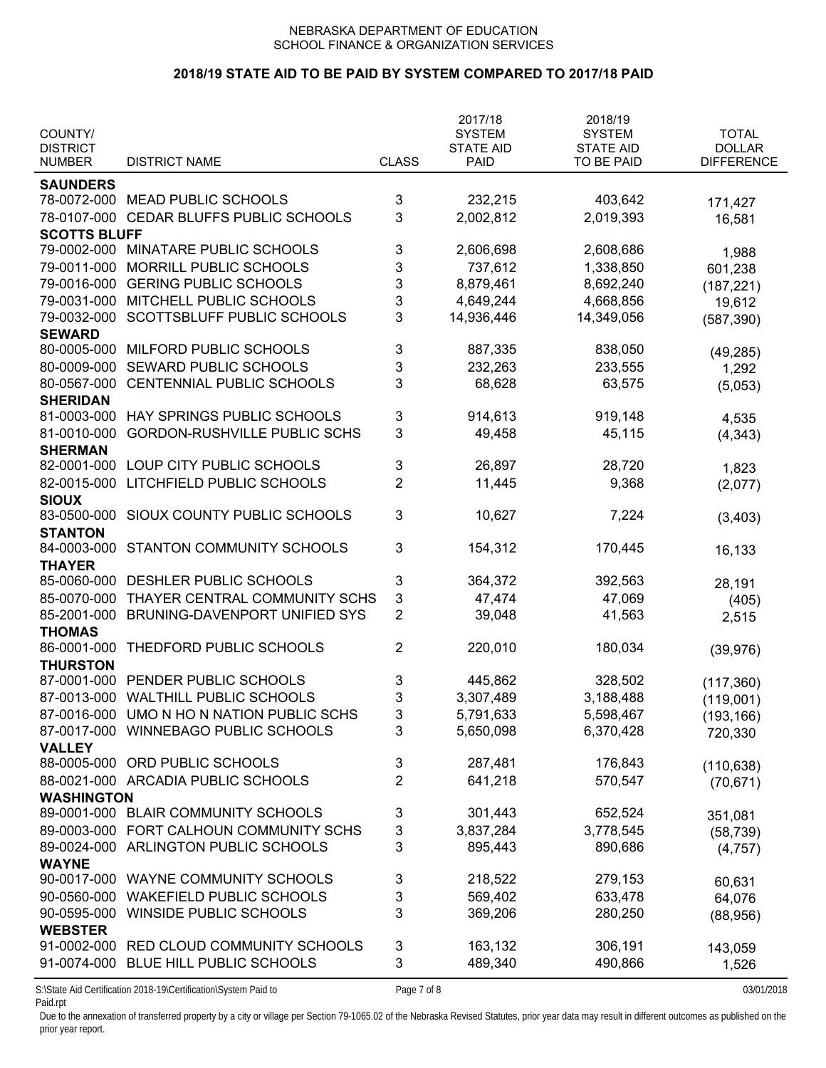## **2018/19 STATE AID TO BE PAID BY SYSTEM COMPARED TO 2017/18 PAID**

| COUNTY/<br><b>DISTRICT</b><br><b>NUMBER</b> | <b>DISTRICT NAME</b>                      | <b>CLASS</b>   | 2017/18<br><b>SYSTEM</b><br><b>STATE AID</b><br><b>PAID</b> | 2018/19<br><b>SYSTEM</b><br><b>STATE AID</b><br>TO BE PAID | <b>TOTAL</b><br><b>DOLLAR</b><br><b>DIFFERENCE</b> |
|---------------------------------------------|-------------------------------------------|----------------|-------------------------------------------------------------|------------------------------------------------------------|----------------------------------------------------|
|                                             |                                           |                |                                                             |                                                            |                                                    |
| <b>SAUNDERS</b><br>78-0072-000              | <b>MEAD PUBLIC SCHOOLS</b>                | 3              | 232,215                                                     | 403,642                                                    |                                                    |
|                                             |                                           |                |                                                             |                                                            | 171,427                                            |
| 78-0107-000                                 | CEDAR BLUFFS PUBLIC SCHOOLS               | 3              | 2,002,812                                                   | 2,019,393                                                  | 16,581                                             |
| <b>SCOTTS BLUFF</b>                         |                                           |                |                                                             |                                                            |                                                    |
|                                             | 79-0002-000 MINATARE PUBLIC SCHOOLS       | 3              | 2,606,698                                                   | 2,608,686                                                  | 1,988                                              |
| 79-0011-000                                 | MORRILL PUBLIC SCHOOLS                    | 3              | 737,612                                                     | 1,338,850                                                  | 601,238                                            |
| 79-0016-000                                 | <b>GERING PUBLIC SCHOOLS</b>              | 3              | 8,879,461                                                   | 8,692,240                                                  | (187, 221)                                         |
| 79-0031-000                                 | MITCHELL PUBLIC SCHOOLS                   | 3              | 4,649,244                                                   | 4,668,856                                                  | 19,612                                             |
| 79-0032-000                                 | SCOTTSBLUFF PUBLIC SCHOOLS                | 3              | 14,936,446                                                  | 14,349,056                                                 | (587, 390)                                         |
| <b>SEWARD</b>                               |                                           |                |                                                             |                                                            |                                                    |
| 80-0005-000                                 | MILFORD PUBLIC SCHOOLS                    | 3              | 887,335                                                     | 838,050                                                    | (49, 285)                                          |
| 80-0009-000                                 | SEWARD PUBLIC SCHOOLS                     | 3              | 232,263                                                     | 233,555                                                    | 1,292                                              |
| 80-0567-000                                 | CENTENNIAL PUBLIC SCHOOLS                 | 3              | 68,628                                                      | 63,575                                                     | (5,053)                                            |
| <b>SHERIDAN</b>                             |                                           |                |                                                             |                                                            |                                                    |
| 81-0003-000                                 | HAY SPRINGS PUBLIC SCHOOLS                | 3              | 914,613                                                     | 919,148                                                    | 4,535                                              |
| 81-0010-000                                 | <b>GORDON-RUSHVILLE PUBLIC SCHS</b>       | 3              | 49,458                                                      | 45,115                                                     | (4, 343)                                           |
| <b>SHERMAN</b>                              |                                           |                |                                                             |                                                            |                                                    |
| 82-0001-000                                 | LOUP CITY PUBLIC SCHOOLS                  | 3              | 26,897                                                      | 28,720                                                     | 1,823                                              |
| 82-0015-000                                 | LITCHFIELD PUBLIC SCHOOLS                 | $\overline{2}$ | 11,445                                                      | 9,368                                                      | (2,077)                                            |
| <b>SIOUX</b>                                |                                           |                |                                                             |                                                            |                                                    |
| 83-0500-000                                 | SIOUX COUNTY PUBLIC SCHOOLS               | 3              | 10,627                                                      | 7,224                                                      | (3, 403)                                           |
| <b>STANTON</b>                              |                                           |                |                                                             |                                                            |                                                    |
| 84-0003-000                                 | STANTON COMMUNITY SCHOOLS                 | 3              | 154,312                                                     | 170,445                                                    | 16,133                                             |
| <b>THAYER</b>                               |                                           |                |                                                             |                                                            |                                                    |
| 85-0060-000                                 | DESHLER PUBLIC SCHOOLS                    | 3              | 364,372                                                     | 392,563                                                    | 28,191                                             |
| 85-0070-000                                 | THAYER CENTRAL COMMUNITY SCHS             | 3              | 47,474                                                      | 47,069                                                     | (405)                                              |
| 85-2001-000                                 | BRUNING-DAVENPORT UNIFIED SYS             | $\overline{2}$ | 39,048                                                      | 41,563                                                     | 2,515                                              |
| <b>THOMAS</b>                               |                                           |                |                                                             |                                                            |                                                    |
| 86-0001-000                                 | THEDFORD PUBLIC SCHOOLS                   | $\overline{2}$ | 220,010                                                     | 180,034                                                    | (39, 976)                                          |
| <b>THURSTON</b>                             |                                           |                |                                                             |                                                            |                                                    |
| 87-0001-000                                 | PENDER PUBLIC SCHOOLS                     | 3              | 445,862                                                     | 328,502                                                    | (117, 360)                                         |
| 87-0013-000                                 | <b>WALTHILL PUBLIC SCHOOLS</b>            | 3              | 3,307,489                                                   | 3,188,488                                                  |                                                    |
|                                             | 87-0016-000 UMO N HO N NATION PUBLIC SCHS | 3              | 5,791,633                                                   | 5,598,467                                                  | (119,001)                                          |
|                                             | 87-0017-000 WINNEBAGO PUBLIC SCHOOLS      | 3              | 5,650,098                                                   | 6,370,428                                                  | (193, 166)                                         |
| <b>VALLEY</b>                               |                                           |                |                                                             |                                                            | 720,330                                            |
|                                             | 88-0005-000 ORD PUBLIC SCHOOLS            | 3              | 287,481                                                     | 176,843                                                    |                                                    |
|                                             |                                           | $\overline{2}$ | 641,218                                                     | 570,547                                                    | (110, 638)                                         |
|                                             | 88-0021-000 ARCADIA PUBLIC SCHOOLS        |                |                                                             |                                                            | (70, 671)                                          |
| <b>WASHINGTON</b>                           | 89-0001-000 BLAIR COMMUNITY SCHOOLS       | 3              | 301,443                                                     | 652,524                                                    |                                                    |
|                                             |                                           |                |                                                             |                                                            | 351,081                                            |
| 89-0003-000                                 | FORT CALHOUN COMMUNITY SCHS               | 3              | 3,837,284                                                   | 3,778,545                                                  | (58, 739)                                          |
| 89-0024-000                                 | ARLINGTON PUBLIC SCHOOLS                  | 3              | 895,443                                                     | 890,686                                                    | (4, 757)                                           |
| <b>WAYNE</b>                                |                                           |                |                                                             |                                                            |                                                    |
| 90-0017-000                                 | WAYNE COMMUNITY SCHOOLS                   | 3              | 218,522                                                     | 279,153                                                    | 60,631                                             |
| 90-0560-000                                 | <b>WAKEFIELD PUBLIC SCHOOLS</b>           | 3              | 569,402                                                     | 633,478                                                    | 64,076                                             |
| 90-0595-000                                 | WINSIDE PUBLIC SCHOOLS                    | 3              | 369,206                                                     | 280,250                                                    | (88,956)                                           |
| <b>WEBSTER</b>                              |                                           |                |                                                             |                                                            |                                                    |
| 91-0002-000                                 | RED CLOUD COMMUNITY SCHOOLS               | 3              | 163,132                                                     | 306,191                                                    | 143,059                                            |
| 91-0074-000                                 | BLUE HILL PUBLIC SCHOOLS                  | 3              | 489,340                                                     | 490,866                                                    | 1,526                                              |

S:\State Aid Certification 2018-19\Certification\System Paid to Page 7 of 8 03/01/2018 Paid.rpt